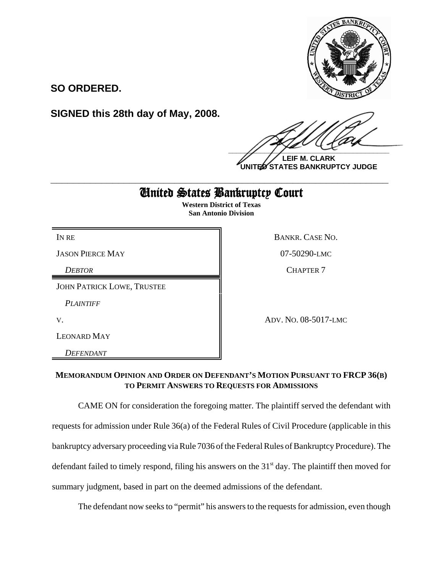

**SO ORDERED.**

**SIGNED this 28th day of May, 2008.**

 $\frac{1}{2}$ 

**LEIF M. CLARK UNITED STATES BANKRUPTCY JUDGE**

## United States Bankruptcy Court **\_\_\_\_\_\_\_\_\_\_\_\_\_\_\_\_\_\_\_\_\_\_\_\_\_\_\_\_\_\_\_\_\_\_\_\_\_\_\_\_\_\_\_\_\_\_\_\_\_\_\_\_\_\_\_\_\_\_\_\_**

**Western District of Texas San Antonio Division**

| IN RE                             | BANKR. CASE NO.      |
|-----------------------------------|----------------------|
| <b>JASON PIERCE MAY</b>           | 07-50290-LMC         |
| <b>DEBTOR</b>                     | <b>CHAPTER 7</b>     |
| <b>JOHN PATRICK LOWE, TRUSTEE</b> |                      |
| <b>PLAINTIFF</b>                  |                      |
| V.                                | ADV. NO. 08-5017-LMC |
| LEONARD MAY                       |                      |
| DEFENDANT                         |                      |

## **MEMORANDUM OPINION AND ORDER ON DEFENDANT'S MOTION PURSUANT TO FRCP 36(B) TO PERMIT ANSWERS TO REQUESTS FOR ADMISSIONS**

CAME ON for consideration the foregoing matter. The plaintiff served the defendant with requests for admission under Rule 36(a) of the Federal Rules of Civil Procedure (applicable in this bankruptcy adversary proceeding via Rule 7036 of the Federal Rules of Bankruptcy Procedure). The defendant failed to timely respond, filing his answers on the 31<sup>st</sup> day. The plaintiff then moved for summary judgment, based in part on the deemed admissions of the defendant.

The defendant now seeks to "permit" his answers to the requests for admission, even though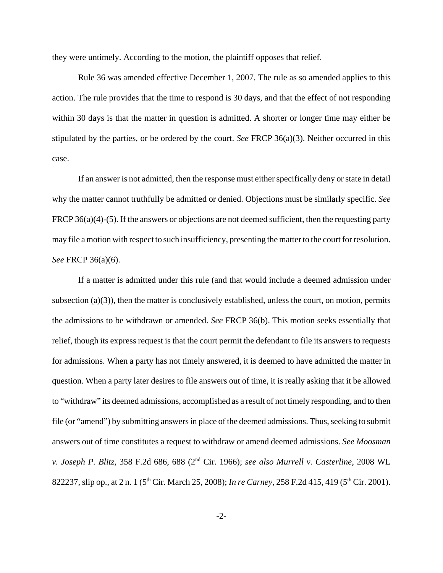they were untimely. According to the motion, the plaintiff opposes that relief.

Rule 36 was amended effective December 1, 2007. The rule as so amended applies to this action. The rule provides that the time to respond is 30 days, and that the effect of not responding within 30 days is that the matter in question is admitted. A shorter or longer time may either be stipulated by the parties, or be ordered by the court. *See* FRCP 36(a)(3). Neither occurred in this case.

If an answer is not admitted, then the response must either specifically deny or state in detail why the matter cannot truthfully be admitted or denied. Objections must be similarly specific. *See* FRCP 36(a)(4)-(5). If the answers or objections are not deemed sufficient, then the requesting party may file a motion with respect to such insufficiency, presenting the matter to the court for resolution. *See* FRCP 36(a)(6).

If a matter is admitted under this rule (and that would include a deemed admission under subsection  $(a)(3)$ , then the matter is conclusively established, unless the court, on motion, permits the admissions to be withdrawn or amended. *See* FRCP 36(b). This motion seeks essentially that relief, though its express request is that the court permit the defendant to file its answers to requests for admissions. When a party has not timely answered, it is deemed to have admitted the matter in question. When a party later desires to file answers out of time, it is really asking that it be allowed to "withdraw" its deemed admissions, accomplished as a result of not timely responding, and to then file (or "amend") by submitting answers in place of the deemed admissions. Thus, seeking to submit answers out of time constitutes a request to withdraw or amend deemed admissions. *See Moosman v. Joseph P. Blitz*, 358 F.2d 686, 688 (2nd Cir. 1966); *see also Murrell v. Casterline*, 2008 WL 822237, slip op., at 2 n. 1 (5<sup>th</sup> Cir. March 25, 2008); *In re Carney*, 258 F.2d 415, 419 (5<sup>th</sup> Cir. 2001).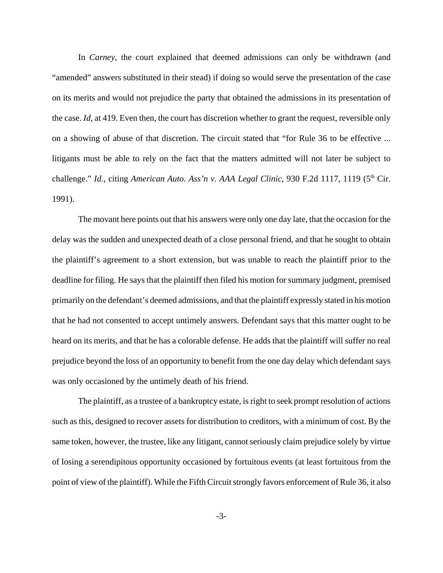In *Carney*, the court explained that deemed admissions can only be withdrawn (and "amended" answers substituted in their stead) if doing so would serve the presentation of the case on its merits and would not prejudice the party that obtained the admissions in its presentation of the case. *Id*, at 419. Even then, the court has discretion whether to grant the request, reversible only on a showing of abuse of that discretion. The circuit stated that "for Rule 36 to be effective ... litigants must be able to rely on the fact that the matters admitted will not later be subject to challenge." *Id.*, citing *American Auto. Ass'n v. AAA Legal Clinic*, 930 F.2d 1117, 1119 (5<sup>th</sup> Cir. 1991).

The movant here points out that his answers were only one day late, that the occasion for the delay was the sudden and unexpected death of a close personal friend, and that he sought to obtain the plaintiff's agreement to a short extension, but was unable to reach the plaintiff prior to the deadline for filing. He says that the plaintiff then filed his motion for summary judgment, premised primarily on the defendant's deemed admissions, and that the plaintiff expressly stated in his motion that he had not consented to accept untimely answers. Defendant says that this matter ought to be heard on its merits, and that he has a colorable defense. He adds that the plaintiff will suffer no real prejudice beyond the loss of an opportunity to benefit from the one day delay which defendant says was only occasioned by the untimely death of his friend.

The plaintiff, as a trustee of a bankruptcy estate, is right to seek prompt resolution of actions such as this, designed to recover assets for distribution to creditors, with a minimum of cost. By the same token, however, the trustee, like any litigant, cannot seriously claim prejudice solely by virtue of losing a serendipitous opportunity occasioned by fortuitous events (at least fortuitous from the point of view of the plaintiff). While the Fifth Circuit strongly favors enforcement of Rule 36, it also